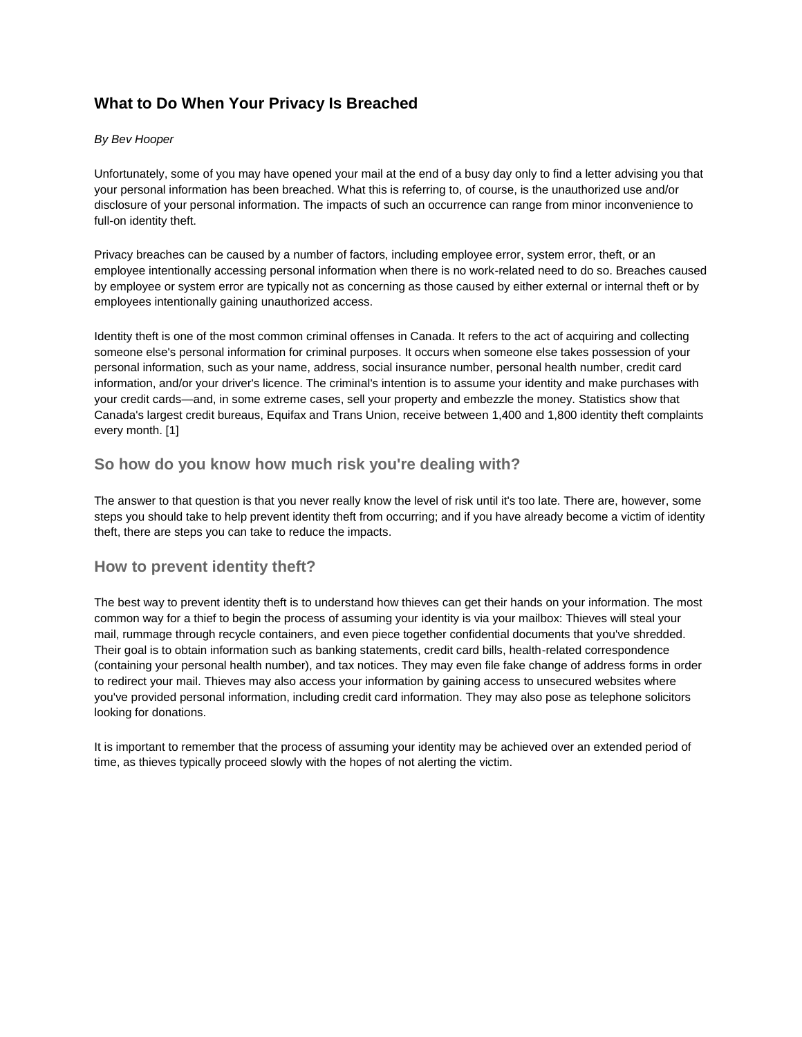# **What to Do When Your Privacy Is Breached**

#### *By Bev Hooper*

Unfortunately, some of you may have opened your mail at the end of a busy day only to find a letter advising you that your personal information has been breached. What this is referring to, of course, is the unauthorized use and/or disclosure of your personal information. The impacts of such an occurrence can range from minor inconvenience to full-on identity theft.

Privacy breaches can be caused by a number of factors, including employee error, system error, theft, or an employee intentionally accessing personal information when there is no work-related need to do so. Breaches caused by employee or system error are typically not as concerning as those caused by either external or internal theft or by employees intentionally gaining unauthorized access.

Identity theft is one of the most common criminal offenses in Canada. It refers to the act of acquiring and collecting someone else's personal information for criminal purposes. It occurs when someone else takes possession of your personal information, such as your name, address, social insurance number, personal health number, credit card information, and/or your driver's licence. The criminal's intention is to assume your identity and make purchases with your credit cards—and, in some extreme cases, sell your property and embezzle the money. Statistics show that Canada's largest credit bureaus, Equifax and Trans Union, receive between 1,400 and 1,800 identity theft complaints every month. [1]

### **So how do you know how much risk you're dealing with?**

The answer to that question is that you never really know the level of risk until it's too late. There are, however, some steps you should take to help prevent identity theft from occurring; and if you have already become a victim of identity theft, there are steps you can take to reduce the impacts.

#### **How to prevent identity theft?**

The best way to prevent identity theft is to understand how thieves can get their hands on your information. The most common way for a thief to begin the process of assuming your identity is via your mailbox: Thieves will steal your mail, rummage through recycle containers, and even piece together confidential documents that you've shredded. Their goal is to obtain information such as banking statements, credit card bills, health-related correspondence (containing your personal health number), and tax notices. They may even file fake change of address forms in order to redirect your mail. Thieves may also access your information by gaining access to unsecured websites where you've provided personal information, including credit card information. They may also pose as telephone solicitors looking for donations.

It is important to remember that the process of assuming your identity may be achieved over an extended period of time, as thieves typically proceed slowly with the hopes of not alerting the victim.